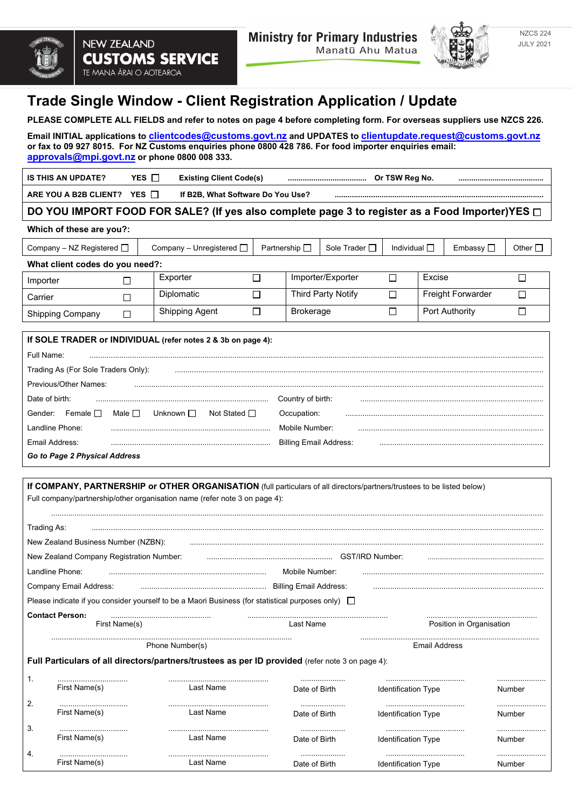



NZCS 224 JULY 2021

# **Trade Single Window - Client Registration Application / Update**

**PLEASE COMPLETE ALL FIELDS and refer to notes on page 4 before completing form. For overseas suppliers use NZCS 226.**

**Email INITIAL applications to [clientcodes@customs.govt.nz](mailto:clientcodes@customs.govt.nz) and UPDATES to [clientupdate.request@customs.govt.nz](mailto:clientupdate.request@customs.govt.nz) or fax to 09 927 8015. For NZ Customs enquiries phone 0800 428 786. For food importer enquiries email: [approvals@mpi.govt.nz](mailto:approvals@mpi.govt.nz) or phone 0800 008 333.**

| IS THIS AN UPDATE?    | <b>YES</b> | <b>Existing Client Code(s)</b>    | <br>Or TSW Reg No. |  |
|-----------------------|------------|-----------------------------------|--------------------|--|
| ARE YOU A B2B CLIENT? | YES T      | If B2B. What Software Do You Use? |                    |  |
|                       |            |                                   |                    |  |

## **DO YOU IMPORT FOOD FOR SALE? (If yes also complete page 3 to register as a Food Importer)YES**

### **Which of these are you?:**

| Company – NZ Registered $\Box$                               | Company - Unregistered $\Box$ |                           | Sole Trader $\Box$<br>Partnership L |                   | Individual $\Box$ |                          | Embassy $\square$ | Other $\Box$ |
|--------------------------------------------------------------|-------------------------------|---------------------------|-------------------------------------|-------------------|-------------------|--------------------------|-------------------|--------------|
| What client codes do you need?:                              |                               |                           |                                     |                   |                   |                          |                   |              |
| Importer                                                     | Exporter                      |                           |                                     | Importer/Exporter |                   | Excise                   |                   |              |
| Carrier                                                      | Diplomatic                    | <b>Third Party Notify</b> |                                     |                   |                   | <b>Freight Forwarder</b> |                   |              |
| <b>Shipping Company</b><br>П                                 | <b>Shipping Agent</b>         |                           | <b>Brokerage</b>                    |                   |                   | <b>Port Authority</b>    |                   |              |
| If SOLE TRADER or INDIVIDUAL (refer notes 2 & 3b on page 4): |                               |                           |                                     |                   |                   |                          |                   |              |
| Full Name:                                                   |                               |                           |                                     |                   |                   |                          |                   |              |
| Trading As (For Sole Traders Only):                          |                               |                           |                                     |                   |                   |                          |                   |              |
| Previous/Other Names:                                        |                               |                           |                                     |                   |                   |                          |                   |              |

| Date of birth:                |                          |                   | Country of birth:             |  |
|-------------------------------|--------------------------|-------------------|-------------------------------|--|
| Female I<br>Gender:           | Unknown $\Box$<br>Male I | Not Stated $\Box$ | Occupation:                   |  |
| Landline Phone:               |                          |                   | Mobile Number                 |  |
| Email Address:                |                          |                   | <b>Billing Email Address:</b> |  |
| Go to Page 2 Physical Address |                          |                   |                               |  |

## **If COMPANY, PARTNERSHIP or OTHER ORGANISATION** (full particulars of all directors/partners/trustees to be listed below) Full company/partnership/other organisation name (refer note 3 on page 4):

....................................................................................................................................................................................................................................... Trading As: .................................................................................................................................................................................................................... New Zealand Business Number (NZBN): New Zealand Company Registration Number: ........................................................... GST/IRD Number: ............................................................. Landline Phone: .......................................................................... Mobile Number: ..................................................................................... Company Email Address: ........................................................... Billing Email Address: ................................................................................ Please indicate if you consider yourself to be a Maori Business (for statistical purposes only)  $\Box$ **Contact Person:** First Name(s) .................................................................. Last Name .................................................... Position in Organisation ................................................................................................................. Phone Number(s) .................................................................................... Email Address **Full Particulars of all directors/partners/trustees as per ID provided** (refer note 3 on page 4):

| . .           | <br>⊢ırs<br>ne(s | r Name.<br>ื่⊿st | <br>Date of Birth | Identification Type | <br>Number |
|---------------|------------------|------------------|-------------------|---------------------|------------|
| c<br><u>.</u> | <br>าeเs         | . Name           | <br>Date of Birth | Identification Type | <br>nnei   |
| 3.            |                  |                  | <br>Date of Birth | Identification Type | <br>nber   |
| 4.            |                  |                  | <br>Birth         | vpe                 |            |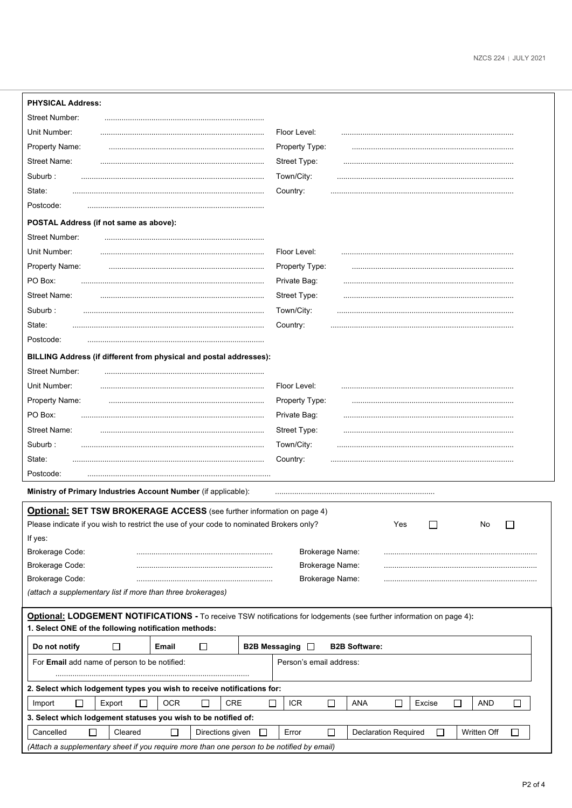| <b>PHYSICAL Address:</b>                                                                                                                          |                                                                                         |  |  |  |  |
|---------------------------------------------------------------------------------------------------------------------------------------------------|-----------------------------------------------------------------------------------------|--|--|--|--|
| <b>Street Number:</b>                                                                                                                             |                                                                                         |  |  |  |  |
| Unit Number:                                                                                                                                      | Floor Level:                                                                            |  |  |  |  |
| Property Name:                                                                                                                                    | Property Type:                                                                          |  |  |  |  |
| <b>Street Name:</b>                                                                                                                               | Street Type:                                                                            |  |  |  |  |
| Suburb:                                                                                                                                           | Town/City:                                                                              |  |  |  |  |
| State:                                                                                                                                            | Country:                                                                                |  |  |  |  |
| Postcode:                                                                                                                                         |                                                                                         |  |  |  |  |
| POSTAL Address (if not same as above):                                                                                                            |                                                                                         |  |  |  |  |
| <b>Street Number:</b>                                                                                                                             |                                                                                         |  |  |  |  |
| Unit Number:                                                                                                                                      | Floor Level:                                                                            |  |  |  |  |
| Property Name:                                                                                                                                    | Property Type:                                                                          |  |  |  |  |
| PO Box:                                                                                                                                           | Private Bag:                                                                            |  |  |  |  |
| <b>Street Name:</b>                                                                                                                               | Street Type:                                                                            |  |  |  |  |
| Suburb:                                                                                                                                           | Town/City:                                                                              |  |  |  |  |
| State:                                                                                                                                            | Country:                                                                                |  |  |  |  |
| Postcode:                                                                                                                                         |                                                                                         |  |  |  |  |
| BILLING Address (if different from physical and postal addresses):                                                                                |                                                                                         |  |  |  |  |
| Street Number:                                                                                                                                    |                                                                                         |  |  |  |  |
| Unit Number:                                                                                                                                      | Floor Level:                                                                            |  |  |  |  |
| Property Name:                                                                                                                                    | Property Type:                                                                          |  |  |  |  |
| PO Box:                                                                                                                                           | Private Bag:                                                                            |  |  |  |  |
| <b>Street Name:</b>                                                                                                                               | Street Type:                                                                            |  |  |  |  |
| Suburb:                                                                                                                                           | Town/City:                                                                              |  |  |  |  |
| State:                                                                                                                                            | Country:                                                                                |  |  |  |  |
| Postcode:                                                                                                                                         |                                                                                         |  |  |  |  |
| Ministry of Primary Industries Account Number (if applicable):                                                                                    |                                                                                         |  |  |  |  |
| <b>Optional: SET TSW BROKERAGE ACCESS</b> (see further information on page 4)                                                                     |                                                                                         |  |  |  |  |
| Please indicate if you wish to restrict the use of your code to nominated Brokers only?                                                           | Yes<br>No                                                                               |  |  |  |  |
| If yes:                                                                                                                                           |                                                                                         |  |  |  |  |
| Brokerage Code:                                                                                                                                   | Brokerage Name:                                                                         |  |  |  |  |
| Brokerage Code:                                                                                                                                   | Brokerage Name:                                                                         |  |  |  |  |
| <b>Brokerage Code:</b>                                                                                                                            | Brokerage Name:                                                                         |  |  |  |  |
| (attach a supplementary list if more than three brokerages)                                                                                       |                                                                                         |  |  |  |  |
| Optional: LODGEMENT NOTIFICATIONS - To receive TSW notifications for lodgements (see further information on page 4):                              |                                                                                         |  |  |  |  |
| 1. Select ONE of the following notification methods:                                                                                              |                                                                                         |  |  |  |  |
| □<br>Do not notify<br>Email<br>□                                                                                                                  | <b>B2B Messaging</b> □<br><b>B2B Software:</b>                                          |  |  |  |  |
| For Email add name of person to be notified:<br>Person's email address:                                                                           |                                                                                         |  |  |  |  |
|                                                                                                                                                   |                                                                                         |  |  |  |  |
| 2. Select which lodgement types you wish to receive notifications for:                                                                            |                                                                                         |  |  |  |  |
| <b>OCR</b><br>□<br>Export<br>□<br><b>CRE</b><br>□<br>Import                                                                                       | ICR<br>П<br><b>ANA</b><br>П<br>$\Box$<br><b>AND</b><br>Excise<br>$\mathsf{L}$<br>$\Box$ |  |  |  |  |
| 3. Select which lodgement statuses you wish to be notified of:                                                                                    |                                                                                         |  |  |  |  |
| $\Box$<br>Cancelled<br>$\Box$<br>□<br>$\Box$<br>Error<br>$\Box$<br>Written Off<br>Cleared<br>Directions given<br><b>Declaration Required</b><br>ப |                                                                                         |  |  |  |  |
| (Attach a supplementary sheet if you require more than one person to be notified by email)                                                        |                                                                                         |  |  |  |  |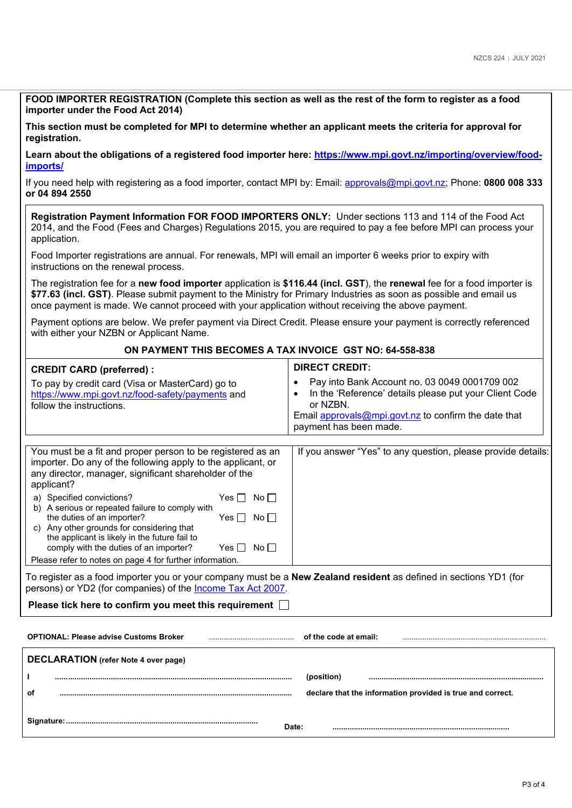| FOOD IMPORTER REGISTRATION (Complete this section as well as the rest of the form to register as a food<br>importer under the Food Act 2014)                                                                                                                                                                                                                                                                                                                                                                                                                                                                                                                   |                                                                                                                                                                                                                                 |  |  |  |  |
|----------------------------------------------------------------------------------------------------------------------------------------------------------------------------------------------------------------------------------------------------------------------------------------------------------------------------------------------------------------------------------------------------------------------------------------------------------------------------------------------------------------------------------------------------------------------------------------------------------------------------------------------------------------|---------------------------------------------------------------------------------------------------------------------------------------------------------------------------------------------------------------------------------|--|--|--|--|
| This section must be completed for MPI to determine whether an applicant meets the criteria for approval for<br>registration.                                                                                                                                                                                                                                                                                                                                                                                                                                                                                                                                  |                                                                                                                                                                                                                                 |  |  |  |  |
| Learn about the obligations of a registered food importer here: https://www.mpi.govt.nz/importing/overview/food-<br>imports/                                                                                                                                                                                                                                                                                                                                                                                                                                                                                                                                   |                                                                                                                                                                                                                                 |  |  |  |  |
| If you need help with registering as a food importer, contact MPI by: Email: approvals@mpi.govt.nz; Phone: 0800 008 333<br>or 04 894 2550                                                                                                                                                                                                                                                                                                                                                                                                                                                                                                                      |                                                                                                                                                                                                                                 |  |  |  |  |
| Registration Payment Information FOR FOOD IMPORTERS ONLY: Under sections 113 and 114 of the Food Act<br>2014, and the Food (Fees and Charges) Regulations 2015, you are required to pay a fee before MPI can process your<br>application.                                                                                                                                                                                                                                                                                                                                                                                                                      |                                                                                                                                                                                                                                 |  |  |  |  |
| Food Importer registrations are annual. For renewals, MPI will email an importer 6 weeks prior to expiry with<br>instructions on the renewal process.                                                                                                                                                                                                                                                                                                                                                                                                                                                                                                          |                                                                                                                                                                                                                                 |  |  |  |  |
| The registration fee for a new food importer application is \$116.44 (incl. GST), the renewal fee for a food importer is<br>\$77.63 (incl. GST). Please submit payment to the Ministry for Primary Industries as soon as possible and email us<br>once payment is made. We cannot proceed with your application without receiving the above payment.                                                                                                                                                                                                                                                                                                           |                                                                                                                                                                                                                                 |  |  |  |  |
| Payment options are below. We prefer payment via Direct Credit. Please ensure your payment is correctly referenced<br>with either your NZBN or Applicant Name.                                                                                                                                                                                                                                                                                                                                                                                                                                                                                                 |                                                                                                                                                                                                                                 |  |  |  |  |
| ON PAYMENT THIS BECOMES A TAX INVOICE GST NO: 64-558-838                                                                                                                                                                                                                                                                                                                                                                                                                                                                                                                                                                                                       |                                                                                                                                                                                                                                 |  |  |  |  |
| <b>CREDIT CARD (preferred):</b>                                                                                                                                                                                                                                                                                                                                                                                                                                                                                                                                                                                                                                | <b>DIRECT CREDIT:</b>                                                                                                                                                                                                           |  |  |  |  |
| To pay by credit card (Visa or MasterCard) go to<br>https://www.mpi.govt.nz/food-safety/payments and<br>follow the instructions.                                                                                                                                                                                                                                                                                                                                                                                                                                                                                                                               | Pay into Bank Account no. 03 0049 0001709 002<br>$\bullet$<br>In the 'Reference' details please put your Client Code<br>$\bullet$<br>or NZBN.<br>Email approvals@mpi.govt.nz to confirm the date that<br>payment has been made. |  |  |  |  |
| If you answer "Yes" to any question, please provide details:<br>You must be a fit and proper person to be registered as an<br>importer. Do any of the following apply to the applicant, or<br>any director, manager, significant shareholder of the<br>applicant?<br>a) Specified convictions?<br>Yes $\Box$ No $\Box$<br>b) A serious or repeated failure to comply with<br>the duties of an importer?<br>$Yes \Box No \Box$<br>c) Any other grounds for considering that<br>the applicant is likely in the future fail to<br>comply with the duties of an importer?<br>No <sub>1</sub><br>Yes II<br>Please refer to notes on page 4 for further information. |                                                                                                                                                                                                                                 |  |  |  |  |
| To register as a food importer you or your company must be a <b>New Zealand resident</b> as defined in sections YD1 (for<br>persons) or YD2 (for companies) of the <b>Income Tax Act 2007</b> .                                                                                                                                                                                                                                                                                                                                                                                                                                                                |                                                                                                                                                                                                                                 |  |  |  |  |
| Please tick here to confirm you meet this requirement $\Box$                                                                                                                                                                                                                                                                                                                                                                                                                                                                                                                                                                                                   |                                                                                                                                                                                                                                 |  |  |  |  |
| <b>OPTIONAL: Please advise Customs Broker</b>                                                                                                                                                                                                                                                                                                                                                                                                                                                                                                                                                                                                                  | of the code at email:                                                                                                                                                                                                           |  |  |  |  |
| <b>DECLARATION</b> (refer Note 4 over page)                                                                                                                                                                                                                                                                                                                                                                                                                                                                                                                                                                                                                    |                                                                                                                                                                                                                                 |  |  |  |  |
| (position)                                                                                                                                                                                                                                                                                                                                                                                                                                                                                                                                                                                                                                                     |                                                                                                                                                                                                                                 |  |  |  |  |
| оf                                                                                                                                                                                                                                                                                                                                                                                                                                                                                                                                                                                                                                                             | declare that the information provided is true and correct.                                                                                                                                                                      |  |  |  |  |

| - - |   |  |
|-----|---|--|
|     | . |  |